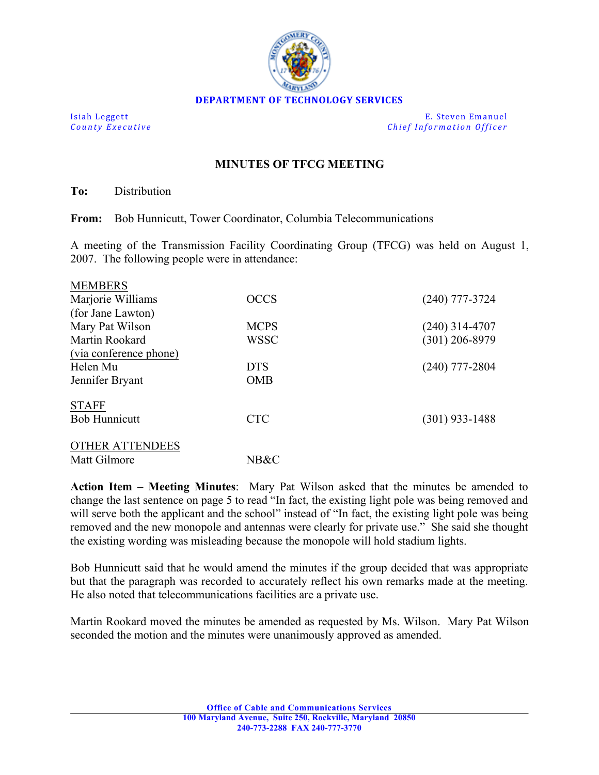

**Isiah Leggett E.** Steven Emanuel *County Executive Chief Information Officer*

## **MINUTES OF TFCG MEETING**

**To:** Distribution

**From:** Bob Hunnicutt, Tower Coordinator, Columbia Telecommunications

A meeting of the Transmission Facility Coordinating Group (TFCG) was held on August 1, 2007. The following people were in attendance:

| <b>MEMBERS</b>         |             |                  |
|------------------------|-------------|------------------|
| Marjorie Williams      | <b>OCCS</b> | $(240)$ 777-3724 |
| (for Jane Lawton)      |             |                  |
| Mary Pat Wilson        | <b>MCPS</b> | $(240)$ 314-4707 |
| Martin Rookard         | WSSC        | $(301)$ 206-8979 |
| (via conference phone) |             |                  |
| Helen Mu               | <b>DTS</b>  | $(240)$ 777-2804 |
| Jennifer Bryant        | <b>OMB</b>  |                  |
| <b>STAFF</b>           |             |                  |
| <b>Bob Hunnicutt</b>   | <b>CTC</b>  | $(301)$ 933-1488 |
| <b>OTHER ATTENDEES</b> |             |                  |
| Matt Gilmore           | NB&C        |                  |

**Action Item – Meeting Minutes**: Mary Pat Wilson asked that the minutes be amended to change the last sentence on page 5 to read "In fact, the existing light pole was being removed and will serve both the applicant and the school" instead of "In fact, the existing light pole was being removed and the new monopole and antennas were clearly for private use." She said she thought the existing wording was misleading because the monopole will hold stadium lights.

Bob Hunnicutt said that he would amend the minutes if the group decided that was appropriate but that the paragraph was recorded to accurately reflect his own remarks made at the meeting. He also noted that telecommunications facilities are a private use.

Martin Rookard moved the minutes be amended as requested by Ms. Wilson. Mary Pat Wilson seconded the motion and the minutes were unanimously approved as amended.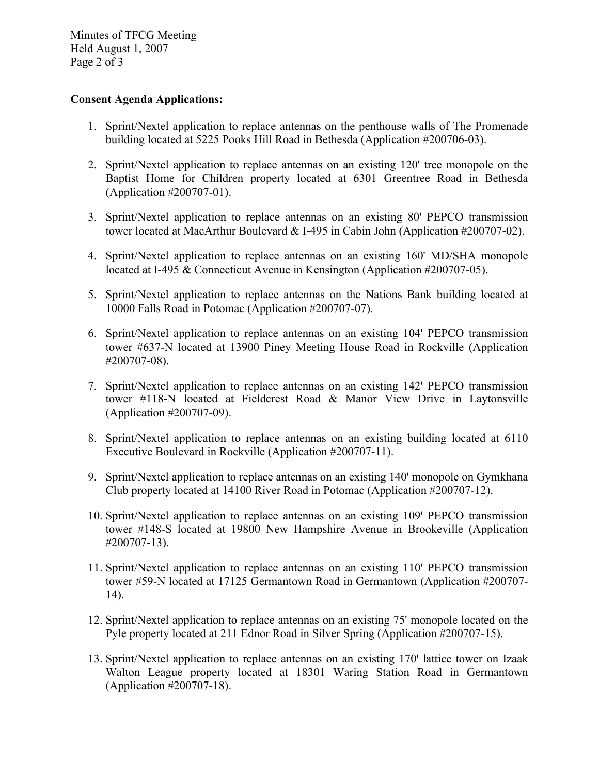Minutes of TFCG Meeting Held August 1, 2007 Page 2 of 3

## **Consent Agenda Applications:**

- 1. Sprint/Nextel application to replace antennas on the penthouse walls of The Promenade building located at 5225 Pooks Hill Road in Bethesda (Application #200706-03).
- 2. Sprint/Nextel application to replace antennas on an existing 120' tree monopole on the Baptist Home for Children property located at 6301 Greentree Road in Bethesda (Application #200707-01).
- 3. Sprint/Nextel application to replace antennas on an existing 80' PEPCO transmission tower located at MacArthur Boulevard & I-495 in Cabin John (Application #200707-02).
- 4. Sprint/Nextel application to replace antennas on an existing 160' MD/SHA monopole located at I-495 & Connecticut Avenue in Kensington (Application #200707-05).
- 5. Sprint/Nextel application to replace antennas on the Nations Bank building located at 10000 Falls Road in Potomac (Application #200707-07).
- 6. Sprint/Nextel application to replace antennas on an existing 104' PEPCO transmission tower #637-N located at 13900 Piney Meeting House Road in Rockville (Application #200707-08).
- 7. Sprint/Nextel application to replace antennas on an existing 142' PEPCO transmission tower #118-N located at Fieldcrest Road & Manor View Drive in Laytonsville (Application #200707-09).
- 8. Sprint/Nextel application to replace antennas on an existing building located at 6110 Executive Boulevard in Rockville (Application #200707-11).
- 9. Sprint/Nextel application to replace antennas on an existing 140' monopole on Gymkhana Club property located at 14100 River Road in Potomac (Application #200707-12).
- 10. Sprint/Nextel application to replace antennas on an existing 109' PEPCO transmission tower #148-S located at 19800 New Hampshire Avenue in Brookeville (Application #200707-13).
- 11. Sprint/Nextel application to replace antennas on an existing 110' PEPCO transmission tower #59-N located at 17125 Germantown Road in Germantown (Application #200707- 14).
- 12. Sprint/Nextel application to replace antennas on an existing 75' monopole located on the Pyle property located at 211 Ednor Road in Silver Spring (Application #200707-15).
- 13. Sprint/Nextel application to replace antennas on an existing 170' lattice tower on Izaak Walton League property located at 18301 Waring Station Road in Germantown (Application #200707-18).